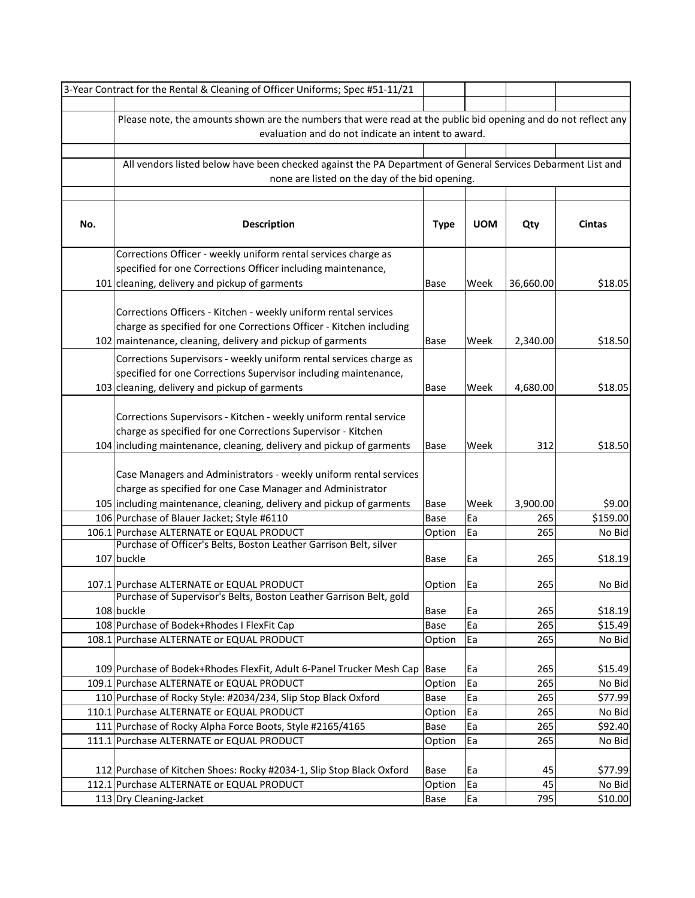|     | 3-Year Contract for the Rental & Cleaning of Officer Uniforms; Spec #51-11/21                                  |             |            |           |               |  |  |
|-----|----------------------------------------------------------------------------------------------------------------|-------------|------------|-----------|---------------|--|--|
|     |                                                                                                                |             |            |           |               |  |  |
|     | Please note, the amounts shown are the numbers that were read at the public bid opening and do not reflect any |             |            |           |               |  |  |
|     | evaluation and do not indicate an intent to award.                                                             |             |            |           |               |  |  |
|     |                                                                                                                |             |            |           |               |  |  |
|     | All vendors listed below have been checked against the PA Department of General Services Debarment List and    |             |            |           |               |  |  |
|     | none are listed on the day of the bid opening.                                                                 |             |            |           |               |  |  |
|     |                                                                                                                |             |            |           |               |  |  |
|     |                                                                                                                |             |            |           |               |  |  |
| No. | <b>Description</b>                                                                                             | <b>Type</b> | <b>UOM</b> | Qty       | <b>Cintas</b> |  |  |
|     |                                                                                                                |             |            |           |               |  |  |
|     | Corrections Officer - weekly uniform rental services charge as                                                 |             |            |           |               |  |  |
|     | specified for one Corrections Officer including maintenance,                                                   |             |            |           |               |  |  |
|     | 101 cleaning, delivery and pickup of garments                                                                  | Base        | Week       | 36,660.00 | \$18.05       |  |  |
|     |                                                                                                                |             |            |           |               |  |  |
|     | Corrections Officers - Kitchen - weekly uniform rental services                                                |             |            |           |               |  |  |
|     | charge as specified for one Corrections Officer - Kitchen including                                            |             |            |           |               |  |  |
|     | 102 maintenance, cleaning, delivery and pickup of garments                                                     | Base        | Week       | 2,340.00  | \$18.50       |  |  |
|     | Corrections Supervisors - weekly uniform rental services charge as                                             |             |            |           |               |  |  |
|     | specified for one Corrections Supervisor including maintenance,                                                |             |            |           |               |  |  |
|     | 103 cleaning, delivery and pickup of garments                                                                  | Base        | Week       | 4,680.00  | \$18.05       |  |  |
|     |                                                                                                                |             |            |           |               |  |  |
|     | Corrections Supervisors - Kitchen - weekly uniform rental service                                              |             |            |           |               |  |  |
|     | charge as specified for one Corrections Supervisor - Kitchen                                                   |             |            |           |               |  |  |
|     | 104 including maintenance, cleaning, delivery and pickup of garments                                           | Base        | Week       | 312       | \$18.50       |  |  |
|     |                                                                                                                |             |            |           |               |  |  |
|     | Case Managers and Administrators - weekly uniform rental services                                              |             |            |           |               |  |  |
|     | charge as specified for one Case Manager and Administrator                                                     |             |            |           |               |  |  |
|     | 105 including maintenance, cleaning, delivery and pickup of garments                                           | Base        | Week       | 3,900.00  | \$9.00        |  |  |
|     | 106 Purchase of Blauer Jacket; Style #6110                                                                     | Base        | Ea         | 265       | \$159.00      |  |  |
|     | 106.1 Purchase ALTERNATE or EQUAL PRODUCT                                                                      | Option      | Ea         | 265       | No Bid        |  |  |
|     | Purchase of Officer's Belts, Boston Leather Garrison Belt, silver                                              |             |            |           |               |  |  |
|     | 107 buckle                                                                                                     | Base        | Ea         | 265       | \$18.19       |  |  |
|     |                                                                                                                |             |            |           |               |  |  |
|     | 107.1 Purchase ALTERNATE or EQUAL PRODUCT                                                                      | Option      | Ea         | 265       | No Bid        |  |  |
|     | Purchase of Supervisor's Belts, Boston Leather Garrison Belt, gold                                             |             |            |           |               |  |  |
|     | 108 buckle                                                                                                     | Base        | Ea         | 265       | \$18.19       |  |  |
|     | 108 Purchase of Bodek+Rhodes I FlexFit Cap                                                                     | Base        | Ea         | 265       | \$15.49       |  |  |
|     | 108.1 Purchase ALTERNATE or EQUAL PRODUCT                                                                      | Option      | Ea         | 265       | No Bid        |  |  |
|     |                                                                                                                |             |            |           |               |  |  |
|     | 109 Purchase of Bodek+Rhodes FlexFit, Adult 6-Panel Trucker Mesh Cap                                           | Base        | Ea         | 265       | \$15.49       |  |  |
|     | 109.1 Purchase ALTERNATE or EQUAL PRODUCT                                                                      | Option      | Ea         | 265       | No Bid        |  |  |
|     | 110 Purchase of Rocky Style: #2034/234, Slip Stop Black Oxford                                                 | Base        | Ea         | 265       | \$77.99       |  |  |
|     | 110.1 Purchase ALTERNATE or EQUAL PRODUCT                                                                      | Option      | Ea         | 265       | No Bid        |  |  |
|     | 111 Purchase of Rocky Alpha Force Boots, Style #2165/4165                                                      | Base        | Ea         | 265       | \$92.40       |  |  |
|     | 111.1 Purchase ALTERNATE or EQUAL PRODUCT                                                                      | Option      | Ea         | 265       | No Bid        |  |  |
|     |                                                                                                                |             |            |           |               |  |  |
|     | 112 Purchase of Kitchen Shoes: Rocky #2034-1, Slip Stop Black Oxford                                           | Base        | Ea         | 45        | \$77.99       |  |  |
|     | 112.1 Purchase ALTERNATE or EQUAL PRODUCT                                                                      | Option      | Ea         | 45        | No Bid        |  |  |
|     | 113 Dry Cleaning-Jacket                                                                                        | Base        | Ea         | 795       | \$10.00       |  |  |